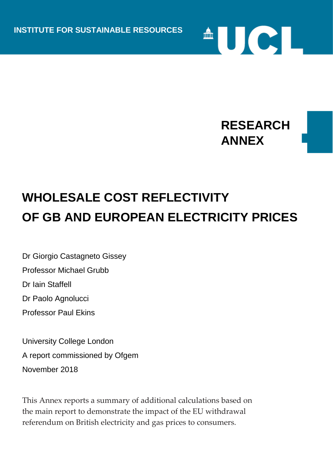

 $\triangle$   $\cup$   $\in$   $\bot$ 

## **WHOLESALE COST REFLECTIVITY OF GB AND EUROPEAN ELECTRICITY PRICES**

Dr Giorgio Castagneto Gissey Professor Michael Grubb Dr Iain Staffell Dr Paolo Agnolucci Professor Paul Ekins

University College London A report commissioned by Ofgem November 2018

This Annex reports a summary of additional calculations based on the main report to demonstrate the impact of the EU withdrawal referendum on British electricity and gas prices to consumers.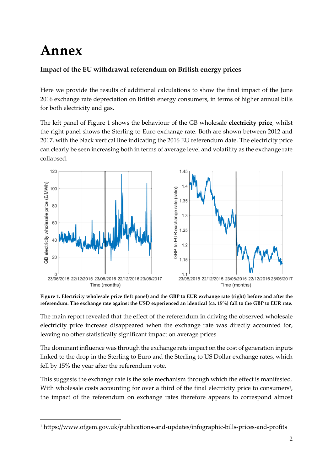## **Annex**

1

## **Impact of the EU withdrawal referendum on British energy prices**

Here we provide the results of additional calculations to show the final impact of the June 2016 exchange rate depreciation on British energy consumers, in terms of higher annual bills for both electricity and gas.

The left panel of Figure 1 shows the behaviour of the GB wholesale **electricity price**, whilst the right panel shows the Sterling to Euro exchange rate. Both are shown between 2012 and 2017, with the black vertical line indicating the 2016 EU referendum date. The electricity price can clearly be seen increasing both in terms of average level and volatility as the exchange rate collapsed.



**Figure 1. Electricity wholesale price (left panel) and the GBP to EUR exchange rate (right) before and after the referendum. The exchange rate against the USD experienced an identical (ca. 15%) fall to the GBP to EUR rate.**

The main report revealed that the effect of the referendum in driving the observed wholesale electricity price increase disappeared when the exchange rate was directly accounted for, leaving no other statistically significant impact on average prices.

The dominant influence was through the exchange rate impact on the cost of generation inputs linked to the drop in the Sterling to Euro and the Sterling to US Dollar exchange rates, which fell by 15% the year after the referendum vote. UCLINSTITUTE<br>
UCLIN<br>
UCLINSTITUTE<br>
UCLINSTITUTE

This suggests the exchange rate is the sole mechanism through which the effect is manifested. With wholesale costs accounting for over a third of the final electricity price to consumers<sup>1</sup>, the impact of the referendum on exchange rates therefore appears to correspond almost

<sup>1</sup> https://www.ofgem.gov.uk/publications-and-updates/infographic-bills-prices-and-profits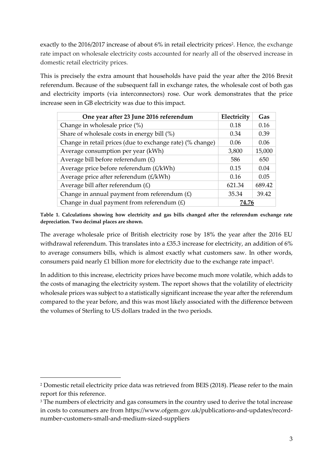exactly to the 2016/2017 increase of about 6% in retail electricity prices<sup>2</sup>. Hence, the exchange rate impact on wholesale electricity costs accounted for nearly all of the observed increase in domestic retail electricity prices.

This is precisely the extra amount that households have paid the year after the 2016 Brexit referendum. Because of the subsequent fall in exchange rates, the wholesale cost of both gas and electricity imports (via interconnectors) rose. Our work demonstrates that the price increase seen in GB electricity was due to this impact.

| One year after 23 June 2016 referendum                    | Electricity | Gas    |
|-----------------------------------------------------------|-------------|--------|
| Change in wholesale price (%)                             | 0.18        | 0.16   |
| Share of wholesale costs in energy bill (%)               | 0.34        | 0.39   |
| Change in retail prices (due to exchange rate) (% change) | 0.06        | 0.06   |
| Average consumption per year (kWh)                        | 3,800       | 15,000 |
| Average bill before referendum $(E)$                      | 586         | 650    |
| Average price before referendum (£/kWh)                   | 0.15        | 0.04   |
| Average price after referendum $(E/kWh)$                  | 0.16        | 0.05   |
| Average bill after referendum $(E)$                       | 621.34      | 689.42 |
| Change in annual payment from referendum $(E)$            | 35.34       | 39.42  |
| Change in dual payment from referendum $(E)$              | 74.76       |        |

**Table 1. Calculations showing how electricity and gas bills changed after the referendum exchange rate depreciation. Two decimal places are shown.**

The average wholesale price of British electricity rose by 18% the year after the 2016 EU withdrawal referendum. This translates into a £35.3 increase for electricity, an addition of 6% to average consumers bills, which is almost exactly what customers saw. In other words, consumers paid nearly £1 billion more for electricity due to the exchange rate impact<sup>3</sup>.

In addition to this increase, electricity prices have become much more volatile, which adds to the costs of managing the electricity system. The report shows that the volatility of electricity wholesale prices was subject to a statistically significant increase the year after the referendum compared to the year before, and this was most likely associated with the difference between the volumes of Sterling to US dollars traded in the two periods.

1

<sup>2</sup> Domestic retail electricity price data was retrieved from BEIS (2018). Please refer to the main report for this reference.

<sup>&</sup>lt;sup>3</sup> The numbers of electricity and gas consumers in the country used to derive the total increase in costs to consumers are from https://www.ofgem.gov.uk/publications-and-updates/recordnumber-customers-small-and-medium-sized-suppliers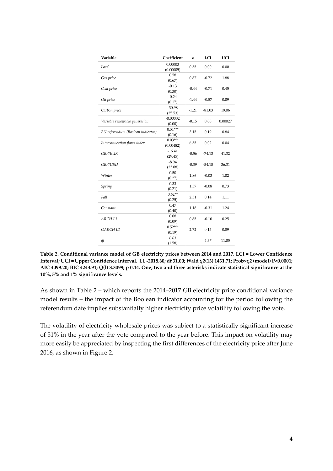| Variable                          | Coefficient            | z       | LCI      | <b>UCI</b> |
|-----------------------------------|------------------------|---------|----------|------------|
| Load                              | 0.00003<br>(0.00005)   | 0.55    | 0.00     | 0.00       |
| Gas price                         | 0.58<br>(0.67)         | 0.87    | $-0.72$  | 1.88       |
| Coal price                        | $-0.13$<br>(0.30)      | $-0.44$ | $-0.71$  | 0.45       |
| Oil price                         | $-0.24$<br>(0.17)      | $-1.44$ | $-0.57$  | 0.09       |
| Carbon price                      | $-30.98$<br>(25.53)    | $-1.21$ | $-81.03$ | 19.06      |
| Variable renewable generation     | $-0.00002$<br>(0.00)   | $-0.15$ | 0.00     | 0.00027    |
| EU referendum (Boolean indicator) | $0.51***$<br>(0.16)    | 3.15    | 0.19     | 0.84       |
| Interconnection flows index       | $0.03***$<br>(0.00482) | 6.55    | 0.02     | 0.04       |
| <b>GBP/EUR</b>                    | $-16.41$<br>(29.45)    | $-0.56$ | $-74.13$ | 41.32      |
| GBP/USD                           | $-8.94$<br>(23.08)     | $-0.39$ | $-54.18$ | 36.31      |
| Winter                            | 0.50<br>(0.27)         | 1.86    | $-0.03$  | 1.02       |
| Spring                            | 0.33<br>(0.21)         | 1.57    | $-0.08$  | 0.73       |
| Fall                              | $0.62**$<br>(0.25)     | 2.51    | 0.14     | 1.11       |
| Constant                          | 0.47<br>(0.40)         | 1.18    | $-0.31$  | 1.24       |
| ARCH L1                           | 0.08<br>(0.09)         | 0.85    | $-0.10$  | 0.25       |
| GARCH L1                          | $0.52***$<br>(0.19)    | 2.72    | 0.15     | 0.89       |
| df                                | 6.63<br>(1.58)         |         | 4.37     | 11.05      |

**Table 2. Conditional variance model of GB electricity prices between 2014 and 2017. LCI = Lower Confidence Interval; UCI = Upper Confidence Interval. LL -2018.60; df 31.00; Wald χ2(13) 1431.71; Prob>χ2 (model) P<0.0001; AIC 4099.20; BIC 4243.91; Q(l) 8.3099; p 0.14. One, two and three asterisks indicate statistical significance at the 10%, 5% and 1% significance levels.**

As shown in Table 2 – which reports the 2014–2017 GB electricity price conditional variance model results – the impact of the Boolean indicator accounting for the period following the referendum date implies substantially higher electricity price volatility following the vote.

The volatility of electricity wholesale prices was subject to a statistically significant increase of 51% in the year after the vote compared to the year before. This impact on volatility may more easily be appreciated by inspecting the first differences of the electricity price after June 2016, as shown in Figure 2.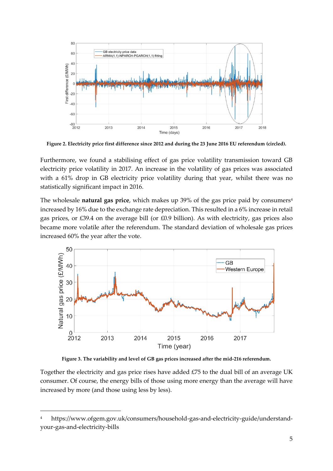

**Figure 2. Electricity price first difference since 2012 and during the 23 June 2016 EU referendum (circled).**

Furthermore, we found a stabilising effect of gas price volatility transmission toward GB electricity price volatility in 2017. An increase in the volatility of gas prices was associated with a 61% drop in GB electricity price volatility during that year, whilst there was no statistically significant impact in 2016.

The wholesale **natural gas price**, which makes up 39% of the gas price paid by consumers<sup>4</sup> increased by 16% due to the exchange rate depreciation. This resulted in a 6% increase in retail gas prices, or £39.4 on the average bill (or £0.9 billion). As with electricity, gas prices also became more volatile after the referendum. The standard deviation of wholesale gas prices increased 60% the year after the vote.



**Figure 3. The variability and level of GB gas prices increased after the mid-216 referendum.**

Together the electricity and gas price rises have added  $E75$  to the dual bill of an average UK consumer. Of course, the energy bills of those using more energy than the average will have increased by more (and those using less by less).

-

<sup>4</sup> https://www.ofgem.gov.uk/consumers/household-gas-and-electricity-guide/understandyour-gas-and-electricity-bills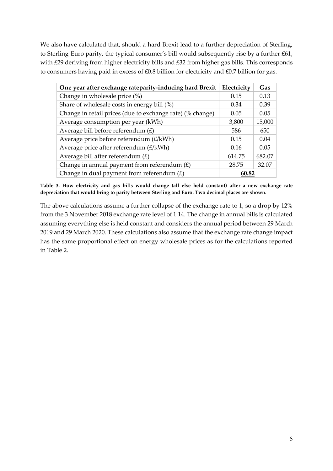We also have calculated that, should a hard Brexit lead to a further depreciation of Sterling, to Sterling-Euro parity, the typical consumer's bill would subsequently rise by a further £61, with £29 deriving from higher electricity bills and £32 from higher gas bills. This corresponds to consumers having paid in excess of £0.8 billion for electricity and £0.7 billion for gas.

| One year after exchange rateparity-inducing hard Brexit   | Electricity | Gas    |
|-----------------------------------------------------------|-------------|--------|
| Change in wholesale price (%)                             | 0.15        | 0.13   |
| Share of wholesale costs in energy bill (%)               | 0.34        | 0.39   |
| Change in retail prices (due to exchange rate) (% change) | 0.05        | 0.05   |
| Average consumption per year (kWh)                        | 3,800       | 15,000 |
| Average bill before referendum $(E)$                      | 586         | 650    |
| Average price before referendum $(E/kWh)$                 | 0.15        | 0.04   |
| Average price after referendum $(E/kWh)$                  | 0.16        | 0.05   |
| Average bill after referendum $(E)$                       | 614.75      | 682.07 |
| Change in annual payment from referendum $(E)$            | 28.75       | 32.07  |
| Change in dual payment from referendum $(E)$              | 60.82       |        |

**Table 3. How electricity and gas bills would change (all else held constant) after a new exchange rate depreciation that would bring to parity between Sterling and Euro. Two decimal places are shown.**

The above calculations assume a further collapse of the exchange rate to 1, so a drop by 12% from the 3 November 2018 exchange rate level of 1.14. The change in annual bills is calculated assuming everything else is held constant and considers the annual period between 29 March 2019 and 29 March 2020. These calculations also assume that the exchange rate change impact has the same proportional effect on energy wholesale prices as for the calculations reported in Table 2.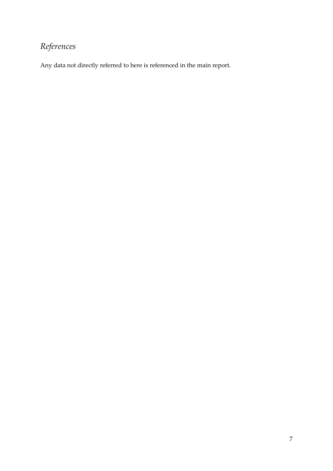## *References*

Any data not directly referred to here is referenced in the main report.